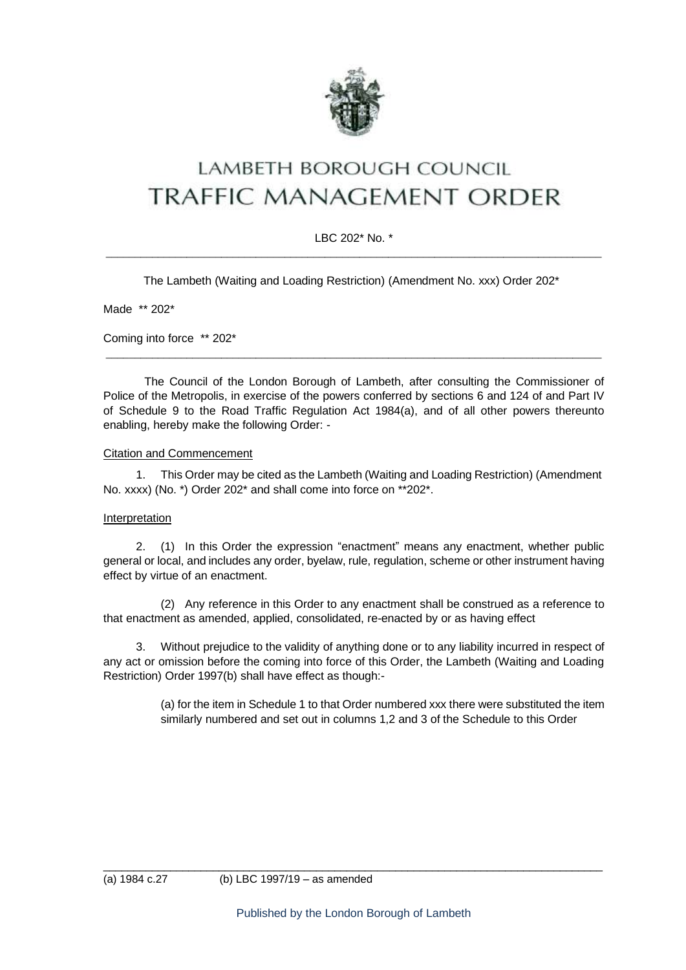

# LAMBETH BOROUGH COUNCIL **TRAFFIC MANAGEMENT ORDER**

### LBC 202\* No. \*  $\_$  ,  $\_$  ,  $\_$  ,  $\_$  ,  $\_$  ,  $\_$  ,  $\_$  ,  $\_$  ,  $\_$  ,  $\_$  ,  $\_$  ,  $\_$  ,  $\_$  ,  $\_$  ,  $\_$  ,  $\_$  ,  $\_$  ,  $\_$  ,  $\_$  ,  $\_$  ,  $\_$  ,  $\_$  ,  $\_$  ,  $\_$  ,  $\_$  ,  $\_$  ,  $\_$  ,  $\_$  ,  $\_$  ,  $\_$  ,  $\_$  ,  $\_$  ,  $\_$  ,  $\_$  ,  $\_$  ,  $\_$  ,  $\_$  ,

The Lambeth (Waiting and Loading Restriction) (Amendment No. xxx) Order 202\*

Made \*\* 202\*

Coming into force \*\* 202\*

The Council of the London Borough of Lambeth, after consulting the Commissioner of Police of the Metropolis, in exercise of the powers conferred by sections 6 and 124 of and Part IV of Schedule 9 to the Road Traffic Regulation Act 1984(a), and of all other powers thereunto enabling, hereby make the following Order: -

\_\_\_\_\_\_\_\_\_\_\_\_\_\_\_\_\_\_\_\_\_\_\_\_\_\_\_\_\_\_\_\_\_\_\_\_\_\_\_\_\_\_\_\_\_\_\_\_\_\_\_\_\_\_\_\_\_\_\_\_\_\_\_\_\_\_\_\_\_\_\_\_\_\_\_\_\_\_\_\_\_\_\_\_\_\_

#### Citation and Commencement

1. This Order may be cited as the Lambeth (Waiting and Loading Restriction) (Amendment No. xxxx) (No. \*) Order 202\* and shall come into force on \*\*202\*.

#### **Interpretation**

2. (1) In this Order the expression "enactment" means any enactment, whether public general or local, and includes any order, byelaw, rule, regulation, scheme or other instrument having effect by virtue of an enactment.

(2) Any reference in this Order to any enactment shall be construed as a reference to that enactment as amended, applied, consolidated, re-enacted by or as having effect

3. Without prejudice to the validity of anything done or to any liability incurred in respect of any act or omission before the coming into force of this Order, the Lambeth (Waiting and Loading Restriction) Order 1997(b) shall have effect as though:-

> (a) for the item in Schedule 1 to that Order numbered xxx there were substituted the item similarly numbered and set out in columns 1,2 and 3 of the Schedule to this Order

\_\_\_\_\_\_\_\_\_\_\_\_\_\_\_\_\_\_\_\_\_\_\_\_\_\_\_\_\_\_\_\_\_\_\_\_\_\_\_\_\_\_\_\_\_\_\_\_\_\_\_\_\_\_\_\_\_\_\_\_\_\_\_\_\_\_\_\_\_\_\_\_\_\_\_\_\_\_\_\_\_\_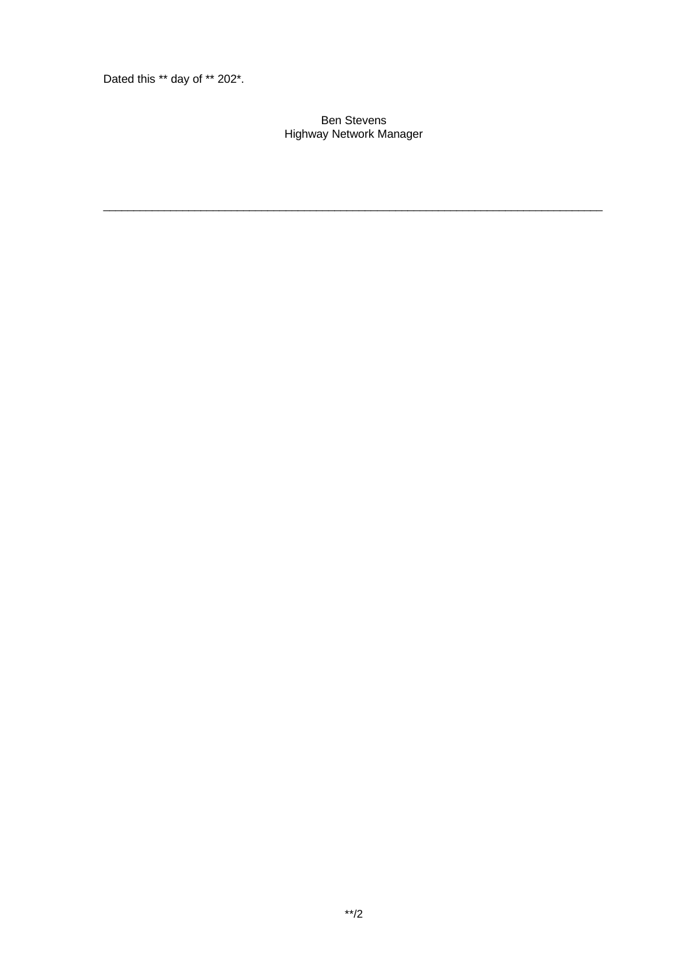Dated this \*\* day of \*\* 202\*.

#### Ben Stevens Highway Network Manager

\_\_\_\_\_\_\_\_\_\_\_\_\_\_\_\_\_\_\_\_\_\_\_\_\_\_\_\_\_\_\_\_\_\_\_\_\_\_\_\_\_\_\_\_\_\_\_\_\_\_\_\_\_\_\_\_\_\_\_\_\_\_\_\_\_\_\_\_\_\_\_\_\_\_\_\_\_\_\_\_\_\_